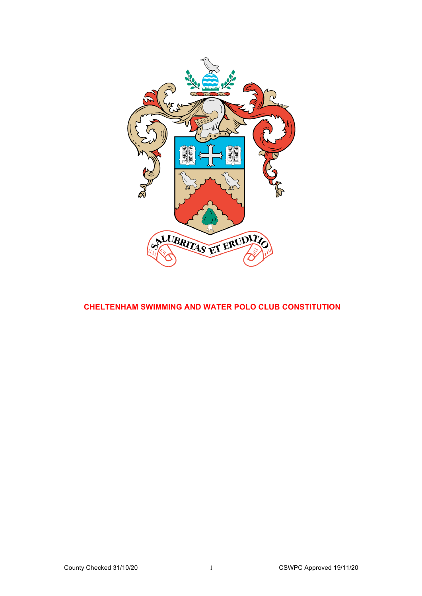

# **CHELTENHAM SWIMMING AND WATER POLO CLUB CONSTITUTION**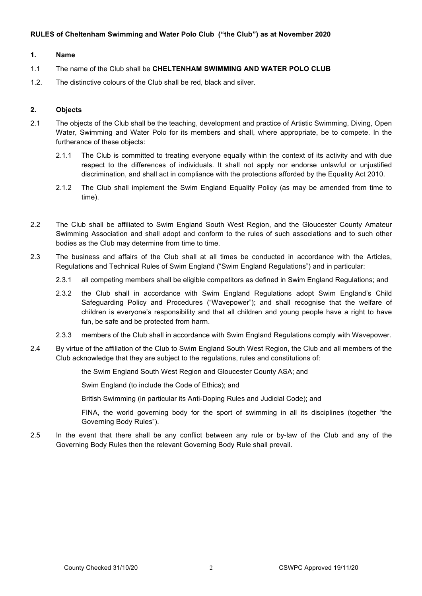## **RULES of Cheltenham Swimming and Water Polo Club ("the Club") as at November 2020**

#### **1. Name**

- 1.1 The name of the Club shall be **CHELTENHAM SWIMMING AND WATER POLO CLUB**
- 1.2. The distinctive colours of the Club shall be red, black and silver.

#### **2. Objects**

- 2.1 The objects of the Club shall be the teaching, development and practice of Artistic Swimming, Diving, Open Water, Swimming and Water Polo for its members and shall, where appropriate, be to compete. In the furtherance of these objects:
	- 2.1.1 The Club is committed to treating everyone equally within the context of its activity and with due respect to the differences of individuals. It shall not apply nor endorse unlawful or unjustified discrimination, and shall act in compliance with the protections afforded by the Equality Act 2010.
	- 2.1.2 The Club shall implement the Swim England Equality Policy (as may be amended from time to time).
- 2.2 The Club shall be affiliated to Swim England South West Region, and the Gloucester County Amateur Swimming Association and shall adopt and conform to the rules of such associations and to such other bodies as the Club may determine from time to time.
- 2.3 The business and affairs of the Club shall at all times be conducted in accordance with the Articles, Regulations and Technical Rules of Swim England ("Swim England Regulations") and in particular:
	- 2.3.1 all competing members shall be eligible competitors as defined in Swim England Regulations; and
	- 2.3.2 the Club shall in accordance with Swim England Regulations adopt Swim England's Child Safeguarding Policy and Procedures ("Wavepower"); and shall recognise that the welfare of children is everyone's responsibility and that all children and young people have a right to have fun, be safe and be protected from harm.
	- 2.3.3 members of the Club shall in accordance with Swim England Regulations comply with Wavepower.
- 2.4 By virtue of the affiliation of the Club to Swim England South West Region, the Club and all members of the Club acknowledge that they are subject to the regulations, rules and constitutions of:

the Swim England South West Region and Gloucester County ASA; and

Swim England (to include the Code of Ethics); and

British Swimming (in particular its Anti-Doping Rules and Judicial Code); and

FINA, the world governing body for the sport of swimming in all its disciplines (together "the Governing Body Rules").

2.5 In the event that there shall be any conflict between any rule or by-law of the Club and any of the Governing Body Rules then the relevant Governing Body Rule shall prevail.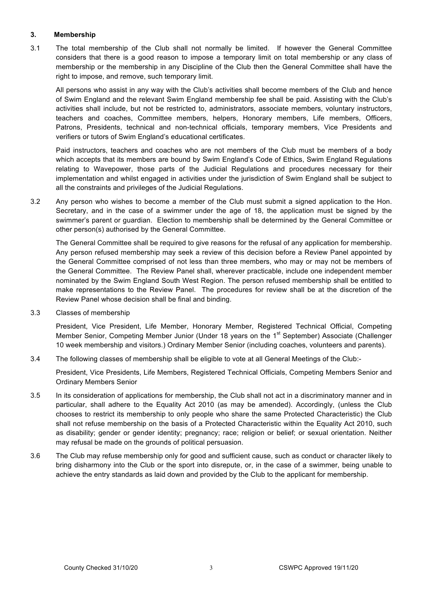# **3. Membership**

3.1 The total membership of the Club shall not normally be limited. If however the General Committee considers that there is a good reason to impose a temporary limit on total membership or any class of membership or the membership in any Discipline of the Club then the General Committee shall have the right to impose, and remove, such temporary limit.

All persons who assist in any way with the Club's activities shall become members of the Club and hence of Swim England and the relevant Swim England membership fee shall be paid. Assisting with the Club's activities shall include, but not be restricted to, administrators, associate members, voluntary instructors, teachers and coaches, Committee members, helpers, Honorary members, Life members, Officers, Patrons, Presidents, technical and non-technical officials, temporary members, Vice Presidents and verifiers or tutors of Swim England's educational certificates.

Paid instructors, teachers and coaches who are not members of the Club must be members of a body which accepts that its members are bound by Swim England's Code of Ethics, Swim England Regulations relating to Wavepower, those parts of the Judicial Regulations and procedures necessary for their implementation and whilst engaged in activities under the jurisdiction of Swim England shall be subject to all the constraints and privileges of the Judicial Regulations.

3.2 Any person who wishes to become a member of the Club must submit a signed application to the Hon. Secretary, and in the case of a swimmer under the age of 18, the application must be signed by the swimmer's parent or guardian. Election to membership shall be determined by the General Committee or other person(s) authorised by the General Committee.

The General Committee shall be required to give reasons for the refusal of any application for membership. Any person refused membership may seek a review of this decision before a Review Panel appointed by the General Committee comprised of not less than three members, who may or may not be members of the General Committee. The Review Panel shall, wherever practicable, include one independent member nominated by the Swim England South West Region. The person refused membership shall be entitled to make representations to the Review Panel. The procedures for review shall be at the discretion of the Review Panel whose decision shall be final and binding.

3.3 Classes of membership

President, Vice President, Life Member, Honorary Member, Registered Technical Official, Competing Member Senior, Competing Member Junior (Under 18 years on the 1<sup>st</sup> September) Associate (Challenger 10 week membership and visitors.) Ordinary Member Senior (including coaches, volunteers and parents).

3.4 The following classes of membership shall be eligible to vote at all General Meetings of the Club:-

President, Vice Presidents, Life Members, Registered Technical Officials, Competing Members Senior and Ordinary Members Senior

- 3.5 In its consideration of applications for membership, the Club shall not act in a discriminatory manner and in particular, shall adhere to the Equality Act 2010 (as may be amended). Accordingly, (unless the Club chooses to restrict its membership to only people who share the same Protected Characteristic) the Club shall not refuse membership on the basis of a Protected Characteristic within the Equality Act 2010, such as disability; gender or gender identity; pregnancy; race; religion or belief; or sexual orientation. Neither may refusal be made on the grounds of political persuasion.
- 3.6 The Club may refuse membership only for good and sufficient cause, such as conduct or character likely to bring disharmony into the Club or the sport into disrepute, or, in the case of a swimmer, being unable to achieve the entry standards as laid down and provided by the Club to the applicant for membership.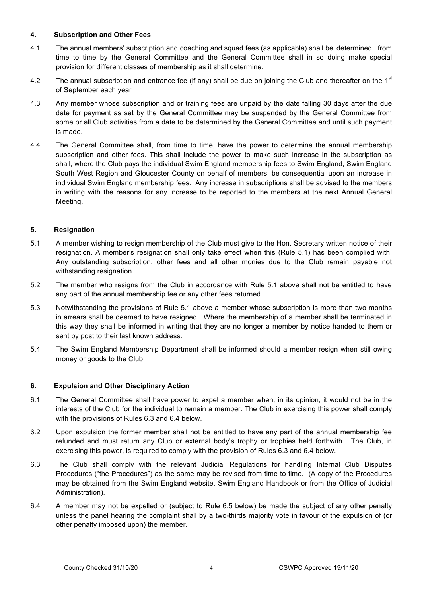# **4. Subscription and Other Fees**

- 4.1 The annual members' subscription and coaching and squad fees (as applicable) shall be determined from time to time by the General Committee and the General Committee shall in so doing make special provision for different classes of membership as it shall determine.
- 4.2 The annual subscription and entrance fee (if any) shall be due on joining the Club and thereafter on the 1<sup>st</sup> of September each year
- 4.3 Any member whose subscription and or training fees are unpaid by the date falling 30 days after the due date for payment as set by the General Committee may be suspended by the General Committee from some or all Club activities from a date to be determined by the General Committee and until such payment is made.
- 4.4 The General Committee shall, from time to time, have the power to determine the annual membership subscription and other fees. This shall include the power to make such increase in the subscription as shall, where the Club pays the individual Swim England membership fees to Swim England, Swim England South West Region and Gloucester County on behalf of members, be consequential upon an increase in individual Swim England membership fees. Any increase in subscriptions shall be advised to the members in writing with the reasons for any increase to be reported to the members at the next Annual General Meeting.

# **5. Resignation**

- 5.1 A member wishing to resign membership of the Club must give to the Hon. Secretary written notice of their resignation. A member's resignation shall only take effect when this (Rule 5.1) has been complied with. Any outstanding subscription, other fees and all other monies due to the Club remain payable not withstanding resignation.
- 5.2 The member who resigns from the Club in accordance with Rule 5.1 above shall not be entitled to have any part of the annual membership fee or any other fees returned.
- 5.3 Notwithstanding the provisions of Rule 5.1 above a member whose subscription is more than two months in arrears shall be deemed to have resigned. Where the membership of a member shall be terminated in this way they shall be informed in writing that they are no longer a member by notice handed to them or sent by post to their last known address.
- 5.4 The Swim England Membership Department shall be informed should a member resign when still owing money or goods to the Club.

## **6. Expulsion and Other Disciplinary Action**

- 6.1 The General Committee shall have power to expel a member when, in its opinion, it would not be in the interests of the Club for the individual to remain a member. The Club in exercising this power shall comply with the provisions of Rules 6.3 and 6.4 below.
- 6.2 Upon expulsion the former member shall not be entitled to have any part of the annual membership fee refunded and must return any Club or external body's trophy or trophies held forthwith. The Club, in exercising this power, is required to comply with the provision of Rules 6.3 and 6.4 below.
- 6.3 The Club shall comply with the relevant Judicial Regulations for handling Internal Club Disputes Procedures ("the Procedures") as the same may be revised from time to time. (A copy of the Procedures may be obtained from the Swim England website, Swim England Handbook or from the Office of Judicial Administration).
- 6.4 A member may not be expelled or (subject to Rule 6.5 below) be made the subject of any other penalty unless the panel hearing the complaint shall by a two-thirds majority vote in favour of the expulsion of (or other penalty imposed upon) the member.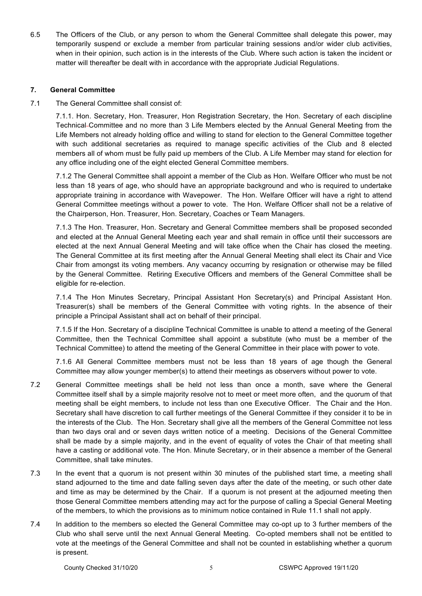6.5 The Officers of the Club, or any person to whom the General Committee shall delegate this power, may temporarily suspend or exclude a member from particular training sessions and/or wider club activities, when in their opinion, such action is in the interests of the Club. Where such action is taken the incident or matter will thereafter be dealt with in accordance with the appropriate Judicial Regulations.

## **7. General Committee**

7.1 The General Committee shall consist of:

7.1.1. Hon. Secretary, Hon. Treasurer, Hon Registration Secretary, the Hon. Secretary of each discipline Technical Committee and no more than 3 Life Members elected by the Annual General Meeting from the Life Members not already holding office and willing to stand for election to the General Committee together with such additional secretaries as required to manage specific activities of the Club and 8 elected members all of whom must be fully paid up members of the Club. A Life Member may stand for election for any office including one of the eight elected General Committee members.

7.1.2 The General Committee shall appoint a member of the Club as Hon. Welfare Officer who must be not less than 18 years of age, who should have an appropriate background and who is required to undertake appropriate training in accordance with Wavepower. The Hon. Welfare Officer will have a right to attend General Committee meetings without a power to vote. The Hon. Welfare Officer shall not be a relative of the Chairperson, Hon. Treasurer, Hon. Secretary, Coaches or Team Managers.

7.1.3 The Hon. Treasurer, Hon. Secretary and General Committee members shall be proposed seconded and elected at the Annual General Meeting each year and shall remain in office until their successors are elected at the next Annual General Meeting and will take office when the Chair has closed the meeting. The General Committee at its first meeting after the Annual General Meeting shall elect its Chair and Vice Chair from amongst its voting members. Any vacancy occurring by resignation or otherwise may be filled by the General Committee. Retiring Executive Officers and members of the General Committee shall be eligible for re-election.

7.1.4 The Hon Minutes Secretary, Principal Assistant Hon Secretary(s) and Principal Assistant Hon. Treasurer(s) shall be members of the General Committee with voting rights. In the absence of their principle a Principal Assistant shall act on behalf of their principal.

7.1.5 If the Hon. Secretary of a discipline Technical Committee is unable to attend a meeting of the General Committee, then the Technical Committee shall appoint a substitute (who must be a member of the Technical Committee) to attend the meeting of the General Committee in their place with power to vote.

7.1.6 All General Committee members must not be less than 18 years of age though the General Committee may allow younger member(s) to attend their meetings as observers without power to vote.

- 7.2 General Committee meetings shall be held not less than once a month, save where the General Committee itself shall by a simple majority resolve not to meet or meet more often, and the quorum of that meeting shall be eight members, to include not less than one Executive Officer. The Chair and the Hon. Secretary shall have discretion to call further meetings of the General Committee if they consider it to be in the interests of the Club. The Hon. Secretary shall give all the members of the General Committee not less than two days oral and or seven days written notice of a meeting. Decisions of the General Committee shall be made by a simple majority, and in the event of equality of votes the Chair of that meeting shall have a casting or additional vote. The Hon. Minute Secretary, or in their absence a member of the General Committee, shall take minutes.
- 7.3 In the event that a quorum is not present within 30 minutes of the published start time, a meeting shall stand adjourned to the time and date falling seven days after the date of the meeting, or such other date and time as may be determined by the Chair. If a quorum is not present at the adjourned meeting then those General Committee members attending may act for the purpose of calling a Special General Meeting of the members, to which the provisions as to minimum notice contained in Rule 11.1 shall not apply.
- 7.4 In addition to the members so elected the General Committee may co-opt up to 3 further members of the Club who shall serve until the next Annual General Meeting. Co-opted members shall not be entitled to vote at the meetings of the General Committee and shall not be counted in establishing whether a quorum is present.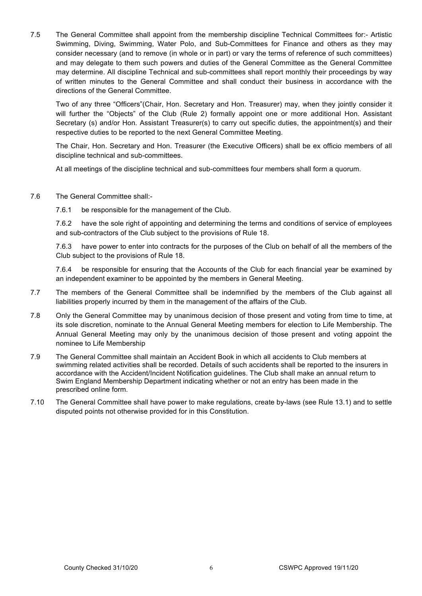7.5 The General Committee shall appoint from the membership discipline Technical Committees for:- Artistic Swimming, Diving, Swimming, Water Polo, and Sub-Committees for Finance and others as they may consider necessary (and to remove (in whole or in part) or vary the terms of reference of such committees) and may delegate to them such powers and duties of the General Committee as the General Committee may determine. All discipline Technical and sub-committees shall report monthly their proceedings by way of written minutes to the General Committee and shall conduct their business in accordance with the directions of the General Committee.

Two of any three "Officers"(Chair, Hon. Secretary and Hon. Treasurer) may, when they jointly consider it will further the "Objects" of the Club (Rule 2) formally appoint one or more additional Hon. Assistant Secretary (s) and/or Hon. Assistant Treasurer(s) to carry out specific duties, the appointment(s) and their respective duties to be reported to the next General Committee Meeting.

The Chair, Hon. Secretary and Hon. Treasurer (the Executive Officers) shall be ex officio members of all discipline technical and sub-committees.

At all meetings of the discipline technical and sub-committees four members shall form a quorum.

- 7.6 The General Committee shall:-
	- 7.6.1 be responsible for the management of the Club.

7.6.2 have the sole right of appointing and determining the terms and conditions of service of employees and sub-contractors of the Club subject to the provisions of Rule 18.

7.6.3 have power to enter into contracts for the purposes of the Club on behalf of all the members of the Club subject to the provisions of Rule 18.

7.6.4 be responsible for ensuring that the Accounts of the Club for each financial year be examined by an independent examiner to be appointed by the members in General Meeting.

- 7.7 The members of the General Committee shall be indemnified by the members of the Club against all liabilities properly incurred by them in the management of the affairs of the Club.
- 7.8 Only the General Committee may by unanimous decision of those present and voting from time to time, at its sole discretion, nominate to the Annual General Meeting members for election to Life Membership. The Annual General Meeting may only by the unanimous decision of those present and voting appoint the nominee to Life Membership
- 7.9 The General Committee shall maintain an Accident Book in which all accidents to Club members at swimming related activities shall be recorded. Details of such accidents shall be reported to the insurers in accordance with the Accident/Incident Notification guidelines. The Club shall make an annual return to Swim England Membership Department indicating whether or not an entry has been made in the prescribed online form.
- 7.10 The General Committee shall have power to make regulations, create by-laws (see Rule 13.1) and to settle disputed points not otherwise provided for in this Constitution.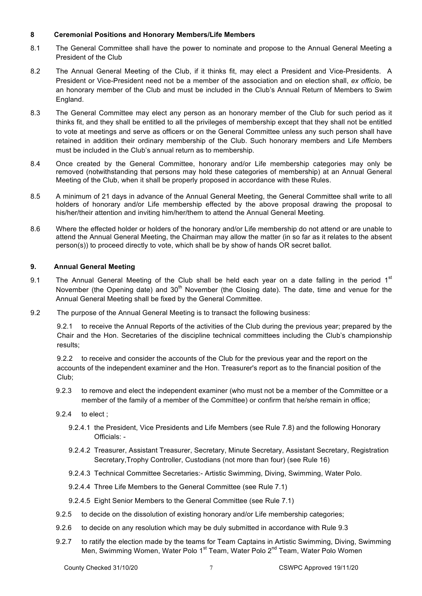## **8 Ceremonial Positions and Honorary Members/Life Members**

- 8.1 The General Committee shall have the power to nominate and propose to the Annual General Meeting a President of the Club
- 8.2 The Annual General Meeting of the Club, if it thinks fit, may elect a President and Vice-Presidents. A President or Vice-President need not be a member of the association and on election shall, *ex officio,* be an honorary member of the Club and must be included in the Club's Annual Return of Members to Swim England.
- 8.3 The General Committee may elect any person as an honorary member of the Club for such period as it thinks fit, and they shall be entitled to all the privileges of membership except that they shall not be entitled to vote at meetings and serve as officers or on the General Committee unless any such person shall have retained in addition their ordinary membership of the Club. Such honorary members and Life Members must be included in the Club's annual return as to membership.
- 8.4 Once created by the General Committee, honorary and/or Life membership categories may only be removed (notwithstanding that persons may hold these categories of membership) at an Annual General Meeting of the Club, when it shall be properly proposed in accordance with these Rules.
- 8.5 A minimum of 21 days in advance of the Annual General Meeting, the General Committee shall write to all holders of honorary and/or Life membership effected by the above proposal drawing the proposal to his/her/their attention and inviting him/her/them to attend the Annual General Meeting*.*
- 8.6 Where the effected holder or holders of the honorary and/or Life membership do not attend or are unable to attend the Annual General Meeting, the Chairman may allow the matter (in so far as it relates to the absent person(s)) to proceed directly to vote, which shall be by show of hands OR secret ballot.

## **9. Annual General Meeting**

- 9.1 The Annual General Meeting of the Club shall be held each year on a date falling in the period  $1<sup>st</sup>$ November (the Opening date) and  $30<sup>th</sup>$  November (the Closing date). The date, time and venue for the Annual General Meeting shall be fixed by the General Committee.
- 9.2 The purpose of the Annual General Meeting is to transact the following business:

9.2.1 to receive the Annual Reports of the activities of the Club during the previous year; prepared by the Chair and the Hon. Secretaries of the discipline technical committees including the Club's championship results;

9.2.2 to receive and consider the accounts of the Club for the previous year and the report on the accounts of the independent examiner and the Hon. Treasurer's report as to the financial position of the Club;

- 9.2.3 to remove and elect the independent examiner (who must not be a member of the Committee or a member of the family of a member of the Committee) or confirm that he/she remain in office;
- 9.2.4 to elect ;
	- 9.2.4.1 the President, Vice Presidents and Life Members (see Rule 7.8) and the following Honorary Officials: -
	- 9.2.4.2 Treasurer, Assistant Treasurer, Secretary, Minute Secretary, Assistant Secretary, Registration Secretary,Trophy Controller, Custodians (not more than four) (see Rule 16)
	- 9.2.4.3 Technical Committee Secretaries:- Artistic Swimming, Diving, Swimming, Water Polo.
	- 9.2.4.4 Three Life Members to the General Committee (see Rule 7.1)
	- 9.2.4.5 Eight Senior Members to the General Committee (see Rule 7.1)
- 9.2.5 to decide on the dissolution of existing honorary and/or Life membership categories;
- 9.2.6 to decide on any resolution which may be duly submitted in accordance with Rule 9.3
- 9.2.7 to ratify the election made by the teams for Team Captains in Artistic Swimming, Diving, Swimming Men, Swimming Women, Water Polo 1<sup>st</sup> Team, Water Polo 2<sup>nd</sup> Team, Water Polo Women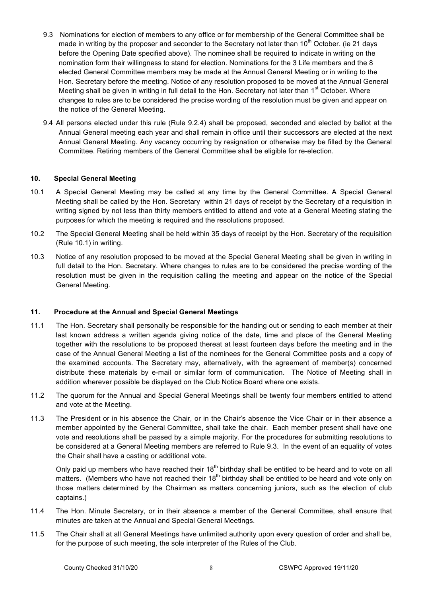- 9.3 Nominations for election of members to any office or for membership of the General Committee shall be made in writing by the proposer and seconder to the Secretary not later than 10<sup>th</sup> October. (ie 21 days before the Opening Date specified above). The nominee shall be required to indicate in writing on the nomination form their willingness to stand for election. Nominations for the 3 Life members and the 8 elected General Committee members may be made at the Annual General Meeting or in writing to the Hon. Secretary before the meeting. Notice of any resolution proposed to be moved at the Annual General Meeting shall be given in writing in full detail to the Hon. Secretary not later than 1<sup>st</sup> October. Where changes to rules are to be considered the precise wording of the resolution must be given and appear on the notice of the General Meeting.
- 9.4 All persons elected under this rule (Rule 9.2.4) shall be proposed, seconded and elected by ballot at the Annual General meeting each year and shall remain in office until their successors are elected at the next Annual General Meeting. Any vacancy occurring by resignation or otherwise may be filled by the General Committee. Retiring members of the General Committee shall be eligible for re-election.

## **10. Special General Meeting**

- 10.1 A Special General Meeting may be called at any time by the General Committee. A Special General Meeting shall be called by the Hon. Secretary within 21 days of receipt by the Secretary of a requisition in writing signed by not less than thirty members entitled to attend and vote at a General Meeting stating the purposes for which the meeting is required and the resolutions proposed.
- 10.2 The Special General Meeting shall be held within 35 days of receipt by the Hon. Secretary of the requisition (Rule 10.1) in writing.
- 10.3 Notice of any resolution proposed to be moved at the Special General Meeting shall be given in writing in full detail to the Hon. Secretary. Where changes to rules are to be considered the precise wording of the resolution must be given in the requisition calling the meeting and appear on the notice of the Special General Meeting.

## **11. Procedure at the Annual and Special General Meetings**

- 11.1 The Hon. Secretary shall personally be responsible for the handing out or sending to each member at their last known address a written agenda giving notice of the date, time and place of the General Meeting together with the resolutions to be proposed thereat at least fourteen days before the meeting and in the case of the Annual General Meeting a list of the nominees for the General Committee posts and a copy of the examined accounts. The Secretary may, alternatively, with the agreement of member(s) concerned distribute these materials by e-mail or similar form of communication. The Notice of Meeting shall in addition wherever possible be displayed on the Club Notice Board where one exists.
- 11.2 The quorum for the Annual and Special General Meetings shall be twenty four members entitled to attend and vote at the Meeting.
- 11.3 The President or in his absence the Chair, or in the Chair's absence the Vice Chair or in their absence a member appointed by the General Committee, shall take the chair. Each member present shall have one vote and resolutions shall be passed by a simple majority. For the procedures for submitting resolutions to be considered at a General Meeting members are referred to Rule 9.3. In the event of an equality of votes the Chair shall have a casting or additional vote.

Only paid up members who have reached their  $18<sup>th</sup>$  birthday shall be entitled to be heard and to vote on all matters. (Members who have not reached their  $18<sup>th</sup>$  birthday shall be entitled to be heard and vote only on those matters determined by the Chairman as matters concerning juniors, such as the election of club captains.)

- 11.4 The Hon. Minute Secretary, or in their absence a member of the General Committee, shall ensure that minutes are taken at the Annual and Special General Meetings.
- 11.5 The Chair shall at all General Meetings have unlimited authority upon every question of order and shall be, for the purpose of such meeting, the sole interpreter of the Rules of the Club.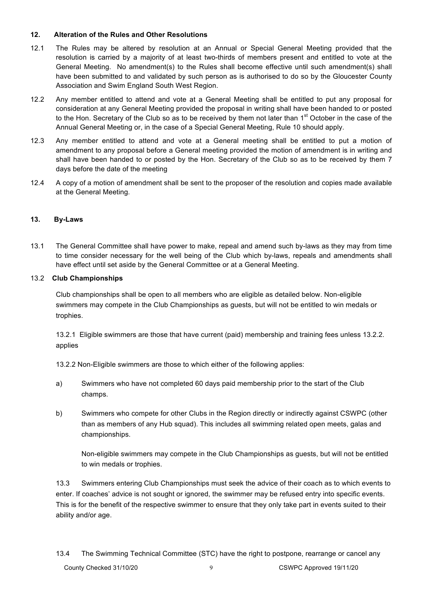# **12. Alteration of the Rules and Other Resolutions**

- 12.1 The Rules may be altered by resolution at an Annual or Special General Meeting provided that the resolution is carried by a majority of at least two-thirds of members present and entitled to vote at the General Meeting. No amendment(s) to the Rules shall become effective until such amendment(s) shall have been submitted to and validated by such person as is authorised to do so by the Gloucester County Association and Swim England South West Region.
- 12.2 Any member entitled to attend and vote at a General Meeting shall be entitled to put any proposal for consideration at any General Meeting provided the proposal in writing shall have been handed to or posted to the Hon. Secretary of the Club so as to be received by them not later than 1<sup>st</sup> October in the case of the Annual General Meeting or, in the case of a Special General Meeting, Rule 10 should apply.
- 12.3 Any member entitled to attend and vote at a General meeting shall be entitled to put a motion of amendment to any proposal before a General meeting provided the motion of amendment is in writing and shall have been handed to or posted by the Hon. Secretary of the Club so as to be received by them 7 days before the date of the meeting
- 12.4 A copy of a motion of amendment shall be sent to the proposer of the resolution and copies made available at the General Meeting.

# **13. By-Laws**

13.1 The General Committee shall have power to make, repeal and amend such by-laws as they may from time to time consider necessary for the well being of the Club which by-laws, repeals and amendments shall have effect until set aside by the General Committee or at a General Meeting.

## 13.2 **Club Championships**

Club championships shall be open to all members who are eligible as detailed below. Non-eligible swimmers may compete in the Club Championships as guests, but will not be entitled to win medals or trophies.

13.2.1 Eligible swimmers are those that have current (paid) membership and training fees unless 13.2.2. applies

13.2.2 Non-Eligible swimmers are those to which either of the following applies:

- a) Swimmers who have not completed 60 days paid membership prior to the start of the Club champs.
- b) Swimmers who compete for other Clubs in the Region directly or indirectly against CSWPC (other than as members of any Hub squad). This includes all swimming related open meets, galas and championships.

Non-eligible swimmers may compete in the Club Championships as guests, but will not be entitled to win medals or trophies.

13.3 Swimmers entering Club Championships must seek the advice of their coach as to which events to enter. If coaches' advice is not sought or ignored, the swimmer may be refused entry into specific events. This is for the benefit of the respective swimmer to ensure that they only take part in events suited to their ability and/or age.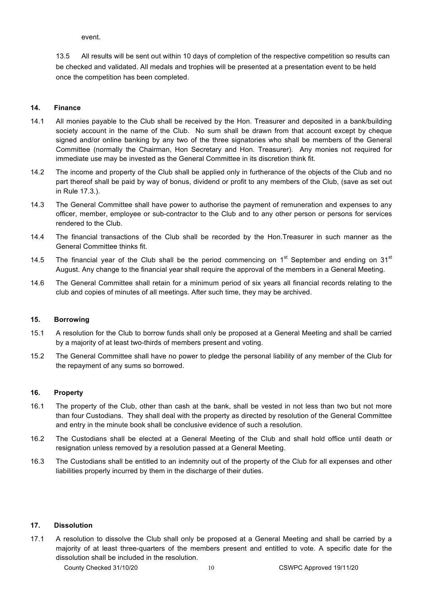event.

13.5 All results will be sent out within 10 days of completion of the respective competition so results can be checked and validated. All medals and trophies will be presented at a presentation event to be held once the competition has been completed.

# **14. Finance**

- 14.1 All monies payable to the Club shall be received by the Hon. Treasurer and deposited in a bank/building society account in the name of the Club. No sum shall be drawn from that account except by cheque signed and/or online banking by any two of the three signatories who shall be members of the General Committee (normally the Chairman, Hon Secretary and Hon. Treasurer). Any monies not required for immediate use may be invested as the General Committee in its discretion think fit.
- 14.2 The income and property of the Club shall be applied only in furtherance of the objects of the Club and no part thereof shall be paid by way of bonus, dividend or profit to any members of the Club, (save as set out in Rule 17.3.).
- 14.3 The General Committee shall have power to authorise the payment of remuneration and expenses to any officer, member, employee or sub-contractor to the Club and to any other person or persons for services rendered to the Club.
- 14.4 The financial transactions of the Club shall be recorded by the Hon.Treasurer in such manner as the General Committee thinks fit.
- 14.5 The financial year of the Club shall be the period commencing on  $1<sup>st</sup>$  September and ending on  $31<sup>st</sup>$ August. Any change to the financial year shall require the approval of the members in a General Meeting.
- 14.6 The General Committee shall retain for a minimum period of six years all financial records relating to the club and copies of minutes of all meetings. After such time, they may be archived.

## **15. Borrowing**

- 15.1 A resolution for the Club to borrow funds shall only be proposed at a General Meeting and shall be carried by a majority of at least two-thirds of members present and voting.
- 15.2 The General Committee shall have no power to pledge the personal liability of any member of the Club for the repayment of any sums so borrowed.

## **16. Property**

- 16.1 The property of the Club, other than cash at the bank, shall be vested in not less than two but not more than four Custodians. They shall deal with the property as directed by resolution of the General Committee and entry in the minute book shall be conclusive evidence of such a resolution.
- 16.2 The Custodians shall be elected at a General Meeting of the Club and shall hold office until death or resignation unless removed by a resolution passed at a General Meeting.
- 16.3 The Custodians shall be entitled to an indemnity out of the property of the Club for all expenses and other liabilities properly incurred by them in the discharge of their duties.

## **17. Dissolution**

17.1 A resolution to dissolve the Club shall only be proposed at a General Meeting and shall be carried by a majority of at least three-quarters of the members present and entitled to vote. A specific date for the dissolution shall be included in the resolution.